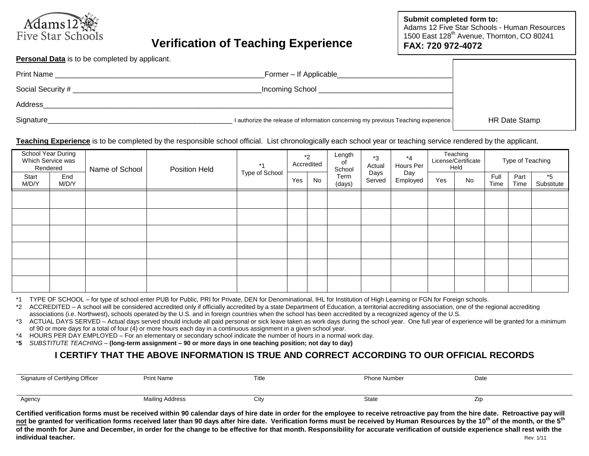

# **Verification of Teaching Experience**

**Submit completed form to:** Adams 12 Five Star Schools - Human Resources 1500 East 128<sup>th</sup> Avenue, Thornton, CO 80241 **FAX: 720 972-4072**

**Personal Data** is to be completed by applicant.

| <b>Print Name</b> | Former - If Applicable                                                             |               |
|-------------------|------------------------------------------------------------------------------------|---------------|
| Social Security # | Incoming School                                                                    |               |
| Address           |                                                                                    |               |
| Signature         | I authorize the release of information concerning my previous Teaching experience. | HR Date Stamp |

#### **Teaching Experience** is to be completed by the responsible school official. List chronologically each school year or teaching service rendered by the applicant.

| School Year During<br>Which Service was<br>Rendered |              | Name of School | Position Held                                 | $*1$           |                 |  |     | $*_{2}$<br>Accredited | Length<br>оf<br>School | $*3$<br>Actual | $*_{4}$<br>Hours Per |  | Teaching<br>License/Certificate<br>Held |  | Type of Teaching |  |
|-----------------------------------------------------|--------------|----------------|-----------------------------------------------|----------------|-----------------|--|-----|-----------------------|------------------------|----------------|----------------------|--|-----------------------------------------|--|------------------|--|
| Start<br>M/D/Y                                      | End<br>M/D/Y |                | Type of School<br>Term<br>Yes<br>No<br>(days) | Days<br>Served | Day<br>Employed |  | Yes | No                    | Full<br>Time           | Part<br>Time   | $*5$<br>Substitute   |  |                                         |  |                  |  |
|                                                     |              |                |                                               |                |                 |  |     |                       |                        |                |                      |  |                                         |  |                  |  |
|                                                     |              |                |                                               |                |                 |  |     |                       |                        |                |                      |  |                                         |  |                  |  |
|                                                     |              |                |                                               |                |                 |  |     |                       |                        |                |                      |  |                                         |  |                  |  |
|                                                     |              |                |                                               |                |                 |  |     |                       |                        |                |                      |  |                                         |  |                  |  |
|                                                     |              |                |                                               |                |                 |  |     |                       |                        |                |                      |  |                                         |  |                  |  |
|                                                     |              |                |                                               |                |                 |  |     |                       |                        |                |                      |  |                                         |  |                  |  |

\*1 TYPE OF SCHOOL – for type of school enter PUB for Public, PRI for Private, DEN for Denominational, IHL for Institution of High Learning or FGN for Foreign schools.

\*2 ACCREDITED – A school will be considered accredited only if officially accredited by a state Department of Education, a territorial accrediting association, one of the regional accrediting associations (i.e. Northwest), schools operated by the U.S. and in foreign countries when the school has been accredited by a recognized agency of the U.S.

\*3 ACTUAL DAYS SERVED – Actual days served should include all paid personal or sick leave taken as work days during the school year. One full year of experience will be granted for a minimum of 90 or more days for a total of four (4) or more hours each day in a continuous assignment in a given school year.

\*4 HOURS PER DAY EMPLOYED – For an elementary or secondary school indicate the number of hours in a normal work day.

\***5** *SUBSTITUTE TEACHING* – **(long-term assignment – 90 or more days in one teaching position; not day to day)**

### **I CERTIFY THAT THE ABOVE INFORMATION IS TRUE AND CORRECT ACCORDING TO OUR OFFICIAL RECORDS**

| Signature of Certifying Officer | <b>Print Name</b> | Title | <b>Phone Number</b> | Date |  |
|---------------------------------|-------------------|-------|---------------------|------|--|
|                                 |                   |       |                     |      |  |
| Agency                          | Mailing Address   | City  | <b>State</b>        | ۷I   |  |

**Certified verification forms must be received within 90 calendar days of hire date in order for the employee to receive retroactive pay from the hire date. Retroactive pay will not be granted for verification forms received later than 90 days after hire date. Verification forms must be received by Human Resources by the 10th of the month, or the 5th of the month for June and December, in order for the change to be effective for that month. Responsibility for accurate verification of outside experience shall rest with the individual teacher.** Rev. 1/11